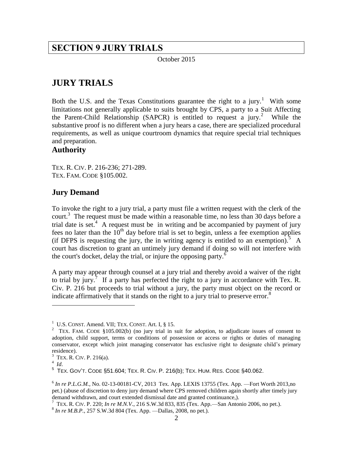# <span id="page-1-0"></span>**SECTION 9 JURY TRIALS**

October 2015

# <span id="page-1-1"></span>**JURY TRIALS**

Both the U.S. and the Texas Constitutions guarantee the right to a jury.<sup>1</sup> With some limitations not generally applicable to suits brought by CPS, a party to a Suit Affecting the Parent-Child Relationship (SAPCR) is entitled to request a jury.<sup>2</sup> While the substantive proof is no different when a jury hears a case, there are specialized procedural requirements, as well as unique courtroom dynamics that require special trial techniques and preparation.

## <span id="page-1-2"></span>**Authority**

TEX. R. CIV. P. 216-236; 271-289. TEX. FAM. CODE §105.002.

## <span id="page-1-3"></span>**Jury Demand**

To invoke the right to a jury trial, a party must file a written request with the clerk of the court.<sup>3</sup> The request must be made within a reasonable time, no less than 30 days before a trial date is set.<sup>4</sup> A request must be in writing and be accompanied by payment of jury fees no later than the  $10<sup>th</sup>$  day before trial is set to begin, unless a fee exemption applies (if DFPS is requesting the jury, the in writing agency is entitled to an exemption).  $\overline{5}$  A court has discretion to grant an untimely jury demand if doing so will not interfere with the court's docket, delay the trial, or injure the opposing party.<sup>6</sup>

A party may appear through counsel at a jury trial and thereby avoid a waiver of the right to trial by jury.<sup>7</sup> If a party has perfected the right to a jury in accordance with Tex. R. Civ. P. 216 but proceeds to trial without a jury, the party must object on the record or indicate affirmatively that it stands on the right to a jury trial to preserve error.<sup>8</sup>

 $1 \text{ U.S.}$  CONST. Amend. VII; TEX. CONST. Art. I,  $\S$  15.

<sup>&</sup>lt;sup>2</sup> TEX. FAM. CODE §105.002(b) (no jury trial in suit for adoption, to adjudicate issues of consent to adoption, child support, terms or conditions of possession or access or rights or duties of managing conservator, except which joint managing conservator has exclusive right to designate child's primary residence).

<sup>&</sup>lt;sup>3</sup> TEX. R. CIV. P. 216(a).

<sup>4</sup> *Id*.

 $^5$  Tex. Gov't. Code §51.604; Tex. R. Civ. P. 216(b); Tex. Hum. Res. Code §40.062.

<sup>6</sup> *In re P.L.G.M.*, No. 02-13-00181-CV, 2013 Tex. App. LEXIS 13755 (Tex. App. —Fort Worth 2013,no pet.) (abuse of discretion to deny jury demand where CPS removed children again shortly after timely jury demand withdrawn, and court extended dismissal date and granted continuance,).

<sup>7</sup> TEX. R. CIV. P. 220; *In re M.N.V*., 216 S.W.3d 833, 835 (Tex. App.—San Antonio 2006, no pet.).

<sup>8</sup> *In re M.B.P.*, 257 S.W.3d 804 (Tex. App. —Dallas, 2008, no pet.).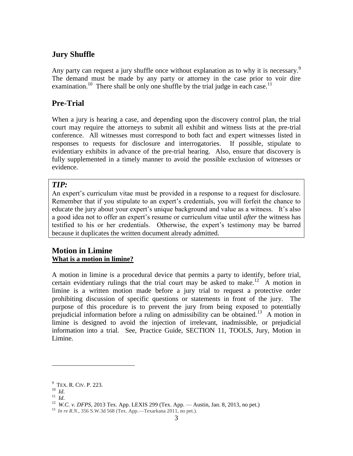## <span id="page-2-0"></span>**Jury Shuffle**

Any party can request a jury shuffle once without explanation as to why it is necessary.<sup>9</sup> The demand must be made by any party or attorney in the case prior to voir dire examination.<sup>10</sup> There shall be only one shuffle by the trial judge in each case.<sup>11</sup>

## <span id="page-2-1"></span>**Pre-Trial**

When a jury is hearing a case, and depending upon the discovery control plan, the trial court may require the attorneys to submit all exhibit and witness lists at the pre-trial conference. All witnesses must correspond to both fact and expert witnesses listed in responses to requests for disclosure and interrogatories. If possible, stipulate to evidentiary exhibits in advance of the pre-trial hearing. Also, ensure that discovery is fully supplemented in a timely manner to avoid the possible exclusion of witnesses or evidence.

## *TIP:*

An expert's curriculum vitae must be provided in a response to a request for disclosure. Remember that if you stipulate to an expert's credentials, you will forfeit the chance to educate the jury about your expert's unique background and value as a witness. It's also a good idea not to offer an expert's resume or curriculum vitae until *after* the witness has testified to his or her credentials. Otherwise, the expert's testimony may be barred because it duplicates the written document already admitted.

## <span id="page-2-3"></span><span id="page-2-2"></span>**Motion in Limine What is a motion in limine?**

A motion in limine is a procedural device that permits a party to identify, before trial, certain evidentiary rulings that the trial court may be asked to make.<sup>12</sup> A motion in limine is a written motion made before a jury trial to request a protective order prohibiting discussion of specific questions or statements in front of the jury. The purpose of this procedure is to prevent the jury from being exposed to potentially prejudicial information before a ruling on admissibility can be obtained.<sup>13</sup> A motion in limine is designed to avoid the injection of irrelevant, inadmissible, or prejudicial information into a trial. See, Practice Guide, SECTION 11, TOOLS, Jury, Motion in Limine.

<sup>&</sup>lt;sup>9</sup> TEX. R. CIV. P. 223.

<sup>10</sup> *Id*.

<sup>11</sup> *Id*.

<sup>&</sup>lt;sup>12</sup> W.C. v. DFPS, 2013 Tex. App. LEXIS 299 (Tex. App. — Austin, Jan. 8, 2013, no pet.)

<sup>13</sup> *In re R.N*., 356 S.W.3d 568 (Tex. App.—Texarkana 2011, no pet.).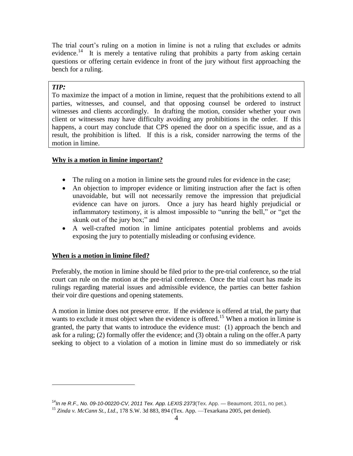The trial court's ruling on a motion in limine is not a ruling that excludes or admits evidence.<sup>14</sup> It is merely a tentative ruling that prohibits a party from asking certain questions or offering certain evidence in front of the jury without first approaching the bench for a ruling.

## *TIP:*

l

To maximize the impact of a motion in limine, request that the prohibitions extend to all parties, witnesses, and counsel, and that opposing counsel be ordered to instruct witnesses and clients accordingly. In drafting the motion, consider whether your own client or witnesses may have difficulty avoiding any prohibitions in the order. If this happens, a court may conclude that CPS opened the door on a specific issue, and as a result, the prohibition is lifted. If this is a risk, consider narrowing the terms of the motion in limine.

### <span id="page-3-0"></span>**Why is a motion in limine important?**

- The ruling on a motion in limine sets the ground rules for evidence in the case;
- An objection to improper evidence or limiting instruction after the fact is often unavoidable, but will not necessarily remove the impression that prejudicial evidence can have on jurors. Once a jury has heard highly prejudicial or inflammatory testimony, it is almost impossible to "unring the bell," or "get the skunk out of the jury box;" and
- A well-crafted motion in limine anticipates potential problems and avoids exposing the jury to potentially misleading or confusing evidence.

#### <span id="page-3-1"></span>**When is a motion in limine filed?**

Preferably, the motion in limine should be filed prior to the pre-trial conference, so the trial court can rule on the motion at the pre-trial conference. Once the trial court has made its rulings regarding material issues and admissible evidence, the parties can better fashion their voir dire questions and opening statements.

A motion in limine does not preserve error. If the evidence is offered at trial, the party that wants to exclude it must object when the evidence is offered.<sup>15</sup> When a motion in limine is granted, the party that wants to introduce the evidence must: (1) approach the bench and ask for a ruling; (2) formally offer the evidence; and (3) obtain a ruling on the offer.A party seeking to object to a violation of a motion in limine must do so immediately or risk

<sup>14</sup>*In re R.F., No. 09-10-00220-CV, 2011 Tex. App. LEXIS 2373*(Tex. App. — Beaumont, 2011, no pet.).

<sup>15</sup> *Zinda v. McCann St., Ltd*., 178 S.W. 3d 883, 894 (Tex. App. —Texarkana 2005, pet denied).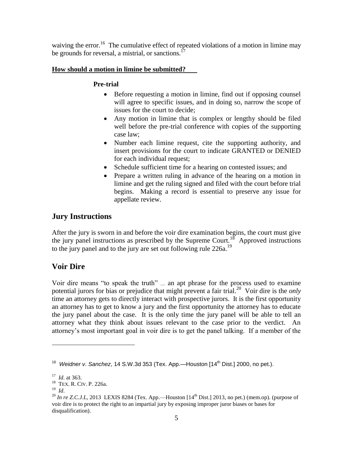waiving the error.<sup>16</sup> The cumulative effect of repeated violations of a motion in limine may be grounds for reversal, a mistrial, or sanctions.<sup>17</sup>

## <span id="page-4-1"></span><span id="page-4-0"></span>**How should a motion in limine be submitted?**

## **Pre-trial**

- Before requesting a motion in limine, find out if opposing counsel will agree to specific issues, and in doing so, narrow the scope of issues for the court to decide;
- Any motion in limine that is complex or lengthy should be filed well before the pre-trial conference with copies of the supporting case law;
- Number each limine request, cite the supporting authority, and insert provisions for the court to indicate GRANTED or DENIED for each individual request;
- Schedule sufficient time for a hearing on contested issues; and
- Prepare a written ruling in advance of the hearing on a motion in limine and get the ruling signed and filed with the court before trial begins. Making a record is essential to preserve any issue for appellate review.

## <span id="page-4-2"></span>**Jury Instructions**

After the jury is sworn in and before the voir dire examination begins, the court must give the jury panel instructions as prescribed by the Supreme Court.<sup>18</sup> Approved instructions to the jury panel and to the jury are set out following rule  $226a$ <sup>19</sup>

## <span id="page-4-3"></span>**Voir Dire**

Voir dire means "to speak the truth" — an apt phrase for the process used to examine potential jurors for bias or prejudice that might prevent a fair trial.<sup>20</sup> Voir dire is the *only* time an attorney gets to directly interact with prospective jurors. It is the first opportunity an attorney has to get to know a jury and the first opportunity the attorney has to educate the jury panel about the case. It is the only time the jury panel will be able to tell an attorney what they think about issues relevant to the case prior to the verdict. An attorney's most important goal in voir dire is to get the panel talking. If a member of the

19 *Id*.

<sup>&</sup>lt;sup>16</sup> Weidner v. Sanchez, 14 S.W.3d 353 (Tex. App.—Houston [14<sup>th</sup> Dist.] 2000, no pet.).

<sup>17</sup> *Id*. at 363.

<sup>&</sup>lt;sup>18</sup> TEX. R. CIV. P. 226a.

<sup>&</sup>lt;sup>20</sup> In re Z.C.J.L, 2013 LEXIS 8284 (Tex. App.—Houston [14<sup>th</sup> Dist.] 2013, no pet.) (mem.op). (purpose of voir dire is to protect the right to an impartial jury by exposing improper juror biases or bases for disqualification).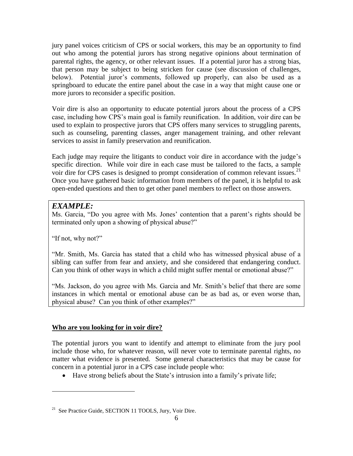jury panel voices criticism of CPS or social workers, this may be an opportunity to find out who among the potential jurors has strong negative opinions about termination of parental rights, the agency, or other relevant issues. If a potential juror has a strong bias, that person may be subject to being stricken for cause (see discussion of challenges, below). Potential juror's comments, followed up properly, can also be used as a springboard to educate the entire panel about the case in a way that might cause one or more jurors to reconsider a specific position.

Voir dire is also an opportunity to educate potential jurors about the process of a CPS case, including how CPS's main goal is family reunification. In addition, voir dire can be used to explain to prospective jurors that CPS offers many services to struggling parents, such as counseling, parenting classes, anger management training, and other relevant services to assist in family preservation and reunification.

Each judge may require the litigants to conduct voir dire in accordance with the judge's specific direction. While voir dire in each case must be tailored to the facts, a sample voir dire for CPS cases is designed to prompt consideration of common relevant issues.<sup>21</sup> Once you have gathered basic information from members of the panel, it is helpful to ask open-ended questions and then to get other panel members to reflect on those answers.

## *EXAMPLE:*

Ms. Garcia, "Do you agree with Ms. Jones' contention that a parent's rights should be terminated only upon a showing of physical abuse?"

"If not, why not?"

l

"Mr. Smith, Ms. Garcia has stated that a child who has witnessed physical abuse of a sibling can suffer from fear and anxiety, and she considered that endangering conduct. Can you think of other ways in which a child might suffer mental or emotional abuse?"

"Ms. Jackson, do you agree with Ms. Garcia and Mr. Smith's belief that there are some instances in which mental or emotional abuse can be as bad as, or even worse than, physical abuse? Can you think of other examples?"

## <span id="page-5-0"></span>**Who are you looking for in voir dire?**

The potential jurors you want to identify and attempt to eliminate from the jury pool include those who, for whatever reason, will never vote to terminate parental rights, no matter what evidence is presented. Some general characteristics that may be cause for concern in a potential juror in a CPS case include people who:

Have strong beliefs about the State's intrusion into a family's private life;

<sup>&</sup>lt;sup>21</sup> See Practice Guide, SECTION 11 TOOLS, Jury, Voir Dire.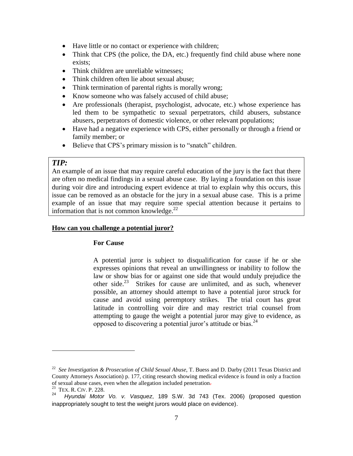- Have little or no contact or experience with children;
- Think that CPS (the police, the DA, etc.) frequently find child abuse where none exists;
- Think children are unreliable witnesses:
- Think children often lie about sexual abuse;
- Think termination of parental rights is morally wrong;
- Know someone who was falsely accused of child abuse;
- Are professionals (therapist, psychologist, advocate, etc.) whose experience has led them to be sympathetic to sexual perpetrators, child abusers, substance abusers, perpetrators of domestic violence, or other relevant populations;
- Have had a negative experience with CPS, either personally or through a friend or family member; or
- Believe that CPS's primary mission is to "snatch" children.

## *TIP:*

An example of an issue that may require careful education of the jury is the fact that there are often no medical findings in a sexual abuse case. By laying a foundation on this issue during voir dire and introducing expert evidence at trial to explain why this occurs, this issue can be removed as an obstacle for the jury in a sexual abuse case. This is a prime example of an issue that may require some special attention because it pertains to information that is not common knowledge. $^{22}$ 

#### <span id="page-6-1"></span><span id="page-6-0"></span>**How can you challenge a potential juror?**

#### **For Cause**

A potential juror is subject to disqualification for cause if he or she expresses opinions that reveal an unwillingness or inability to follow the law or show bias for or against one side that would unduly prejudice the other side.<sup>23</sup> Strikes for cause are unlimited, and as such, whenever possible, an attorney should attempt to have a potential juror struck for cause and avoid using peremptory strikes. The trial court has great latitude in controlling voir dire and may restrict trial counsel from attempting to gauge the weight a potential juror may give to evidence, as opposed to discovering a potential juror's attitude or bias.<sup>24</sup>

<sup>22</sup> *See Investigation & Prosecution of Child Sexual Abuse*, T. Buess and D. Darby (2011 Texas District and County Attorneys Association) p. 177, citing research showing medical evidence is found in only a fraction of sexual abuse cases, even when the allegation included penetration.

 $^{23}$  TEX. R. CIV. P. 228.

*Hyundai Motor Vo. v. Vasquez*, 189 S.W. 3d 743 (Tex. 2006) (proposed question inappropriately sought to test the weight jurors would place on evidence).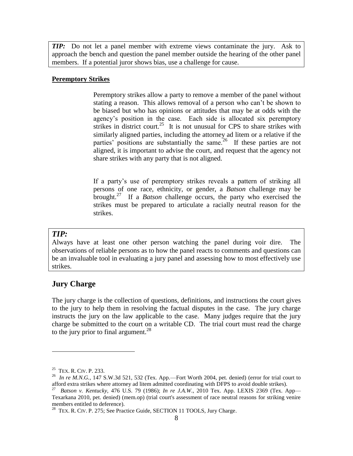*TIP:* Do not let a panel member with extreme views contaminate the jury. Ask to approach the bench and question the panel member outside the hearing of the other panel members. If a potential juror shows bias, use a challenge for cause.

#### <span id="page-7-0"></span>**Peremptory Strikes**

Peremptory strikes allow a party to remove a member of the panel without stating a reason. This allows removal of a person who can't be shown to be biased but who has opinions or attitudes that may be at odds with the agency's position in the case. Each side is allocated six peremptory strikes in district court.<sup>25</sup> It is not unusual for CPS to share strikes with similarly aligned parties, including the attorney ad litem or a relative if the parties' positions are substantially the same.<sup>26</sup> If these parties are not aligned, it is important to advise the court, and request that the agency not share strikes with any party that is not aligned.

If a party's use of peremptory strikes reveals a pattern of striking all persons of one race, ethnicity, or gender, a *Batson* challenge may be brought.<sup>27</sup> If a *Batson* challenge occurs, the party who exercised the strikes must be prepared to articulate a racially neutral reason for the strikes.

#### *TIP:*

Always have at least one other person watching the panel during voir dire. The observations of reliable persons as to how the panel reacts to comments and questions can be an invaluable tool in evaluating a jury panel and assessing how to most effectively use strikes.

### <span id="page-7-1"></span>**Jury Charge**

The jury charge is the collection of questions, definitions, and instructions the court gives to the jury to help them in resolving the factual disputes in the case. The jury charge instructs the jury on the law applicable to the case. Many judges require that the jury charge be submitted to the court on a writable CD. The trial court must read the charge to the jury prior to final argument.<sup>28</sup>

<sup>&</sup>lt;sup>25</sup> TEX. R. CIV. P. 233.

 $^{26}$  *In re M.N.G.*, 147 S.W.3d 521, 532 (Tex. App.—Fort Worth 2004, pet. denied) (error for trial court to afford extra strikes where attorney ad litem admitted coordinating with DFPS to avoid double strikes).

<sup>27</sup> *Batson v. Kentucky,* 476 U.S. 79 (1986); *In re J.A.W*., 2010 Tex. App. LEXIS 2369 (Tex. App— Texarkana 2010, pet. denied) (mem.op) (trial court's assessment of race neutral reasons for striking venire members entitled to deference).

<sup>&</sup>lt;sup>28</sup> TEX. R. CIV. P. 275; See Practice Guide, SECTION 11 TOOLS, Jury Charge.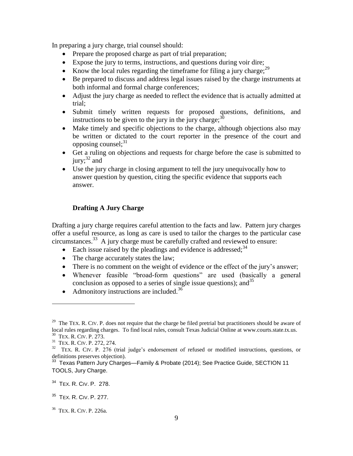In preparing a jury charge, trial counsel should:

- Prepare the proposed charge as part of trial preparation;
- Expose the jury to terms, instructions, and questions during voir dire;
- Know the local rules regarding the timeframe for filing a jury charge; $^{29}$
- Be prepared to discuss and address legal issues raised by the charge instruments at both informal and formal charge conferences;
- Adjust the jury charge as needed to reflect the evidence that is actually admitted at trial;
- Submit timely written requests for proposed questions, definitions, and instructions to be given to the jury in the jury charge; $30$
- Make timely and specific objections to the charge, although objections also may be written or dictated to the court reporter in the presence of the court and opposing counsel; $31$
- Get a ruling on objections and requests for charge before the case is submitted to jury;  $32$  and
- Use the jury charge in closing argument to tell the jury unequivocally how to answer question by question, citing the specific evidence that supports each answer.

## <span id="page-8-0"></span>**Drafting A Jury Charge**

Drafting a jury charge requires careful attention to the facts and law. Pattern jury charges offer a useful resource, as long as care is used to tailor the charges to the particular case circumstances.<sup>33</sup> A jury charge must be carefully crafted and reviewed to ensure:

- Each issue raised by the pleadings and evidence is addressed;  $34$
- The charge accurately states the law;
- There is no comment on the weight of evidence or the effect of the jury's answer;
- Whenever feasible "broad-form questions" are used (basically a general conclusion as opposed to a series of single issue questions); and  $35$
- Admonitory instructions are included.<sup>36</sup>

<sup>&</sup>lt;sup>29</sup> The TEX. R. CIV. P. does not require that the charge be filed pretrial but practitioners should be aware of local rules regarding charges. To find local rules, consult Texas Judicial Online at www.courts.state.tx.us. 30 TEX. R. CIV. P. 273.

<sup>&</sup>lt;sup>31</sup> TEX. R. CIV. P. 272, 274.

 $32$  TEX. R. CIV. P. 276 (trial judge's endorsement of refused or modified instructions, questions, or definitions preserves objection).<br><sup>33</sup> Texas Pattern Jury Charges—Family & Probate (2014); See Practice Guide, SECTION 11

TOOLS, Jury Charge.

<sup>&</sup>lt;sup>34</sup> TEX. R. CIV. P. 278.

<sup>&</sup>lt;sup>35</sup> TEX. R. CIV. P. 277.

<sup>36</sup> TEX. R. CIV. P. 226a.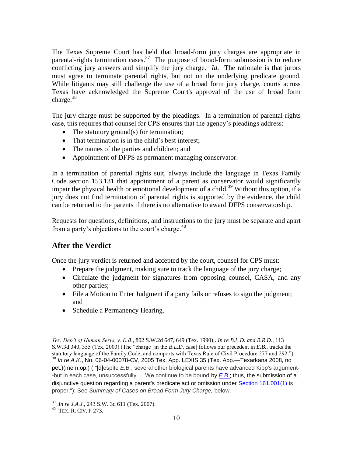The Texas Supreme Court has held that broad-form jury charges are appropriate in parental-rights termination cases.<sup>37</sup> The purpose of broad-form submission is to reduce conflicting jury answers and simplify the jury charge. *Id*. The rationale is that jurors must agree to terminate parental rights, but not on the underlying predicate ground. While litigants may still challenge the use of a broad form jury charge, courts across Texas have acknowledged the Supreme Court's approval of the use of broad form charge. $38$ 

The jury charge must be supported by the pleadings. In a termination of parental rights case, this requires that counsel for CPS ensures that the agency's pleadings address:

- The statutory ground(s) for termination;
- That termination is in the child's best interest;
- The names of the parties and children; and
- Appointment of DFPS as permanent managing conservator.

In a termination of parental rights suit, always include the language in Texas Family Code section 153.131 that appointment of a parent as conservator would significantly impair the physical health or emotional development of a child.<sup>39</sup> Without this option, if a jury does not find termination of parental rights is supported by the evidence, the child can be returned to the parents if there is no alternative to award DFPS conservatorship.

Requests for questions, definitions, and instructions to the jury must be separate and apart from a party's objections to the court's charge. $40$ 

## <span id="page-9-0"></span>**After the Verdict**

Once the jury verdict is returned and accepted by the court, counsel for CPS must:

- Prepare the judgment, making sure to track the language of the jury charge;
- Circulate the judgment for signatures from opposing counsel, CASA, and any other parties;
- File a Motion to Enter Judgment if a party fails or refuses to sign the judgment; and
- Schedule a Permanency Hearing.

*Tex. Dep't of Human Servs. v. E.B*., 802 S.W.2d 647, 649 (Tex. 1990);. *In re B.L.D. and B.R.D*., 113 S.W.3d 340, 355 (Tex. 2003) (The "charge [in the *B.L.D*. case] follows our precedent in *E.B*., tracks the statutory language of the Family Code, and comports with Texas Rule of Civil Procedure 277 and 292."). <sup>38</sup> *In re A.K*., No. 06-04-00078-CV, 2005 Tex. App. LEXIS 35 (Tex. App.—Texarkana 2008, no pet.)(mem.op.) ( "[d]espite *E.B.*, several other biological parents have advanced Kipp's argument- -but in each case, unsuccessfully…. We continue to be bound by *[E.B.](http://www.lexis.com/research/buttonTFLink?_m=eb4e26d74fa6e67fddd3a80561c74b2b&_xfercite=%3ccite%20cc%3d%22USA%22%3e%3c%21%5bCDATA%5b2005%20Tex.%20App.%20LEXIS%2035%5d%5d%3e%3c%2fcite%3e&_butType=3&_butStat=2&_butNum=41&_butInline=1&_butinfo=%3ccite%20cc%3d%22USA%22%3e%3c%21%5bCDATA%5b802%20S.W.2d%20647%5d%5d%3e%3c%2fcite%3e&_fmtstr=FULL&docnum=3&_startdoc=1&wchp=dGLbVzB-zSkAW&_md5=f28d0929c5b78ce8564cb0b394032f52)*; thus, the submission of a disjunctive question regarding a parent's predicate act or omission under [Section 161.001\(1\)](http://www.lexis.com/research/buttonTFLink?_m=eb4e26d74fa6e67fddd3a80561c74b2b&_xfercite=%3ccite%20cc%3d%22USA%22%3e%3c%21%5bCDATA%5b2005%20Tex.%20App.%20LEXIS%2035%5d%5d%3e%3c%2fcite%3e&_butType=4&_butStat=0&_butNum=42&_butInline=1&_butinfo=TEX.%20FAM.%20CODE%20161.001&_fmtstr=FULL&docnum=3&_startdoc=1&wchp=dGLbVzB-zSkAW&_md5=b2bf6381dd9b3168371f0b0447ac2928) is proper."); See *Summary of Cases on Broad Form Jury Charge,* below.

<sup>39</sup> *In re J.A.J.*, 243 S.W. 3d 611 (Tex. 2007).

<sup>40</sup> TEX. R. CIV. P 273.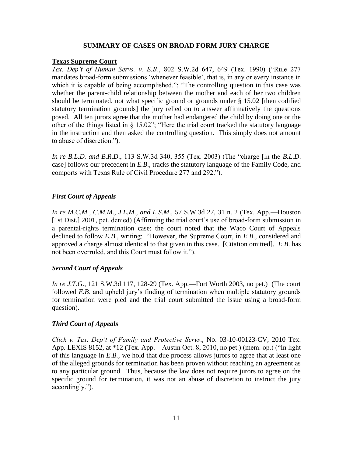#### **SUMMARY OF CASES ON BROAD FORM JURY CHARGE**

#### **Texas Supreme Court**

*Tex. Dep't of Human Servs. v. E.B*., 802 S.W.2d 647, 649 (Tex. 1990) ("Rule 277 mandates broad-form submissions 'whenever feasible', that is, in any or every instance in which it is capable of being accomplished."; "The controlling question in this case was whether the parent-child relationship between the mother and each of her two children should be terminated, not what specific ground or grounds under § 15.02 [then codified statutory termination grounds] the jury relied on to answer affirmatively the questions posed. All ten jurors agree that the mother had endangered the child by doing one or the other of the things listed in § 15.02"; "Here the trial court tracked the statutory language in the instruction and then asked the controlling question. This simply does not amount to abuse of discretion.").

*In re B.L.D. and B.R.D*., 113 S.W.3d 340, 355 (Tex. 2003) (The "charge [in the *B.L.D*. case] follows our precedent in *E.B*., tracks the statutory language of the Family Code, and comports with Texas Rule of Civil Procedure 277 and 292.").

### *First Court of Appeals*

*In re M.C.M., C.M.M., J.L.M., and L.S.M*., 57 S.W.3d 27, 31 n. 2 (Tex. App.—Houston [1st Dist.] 2001, pet. denied) (Affirming the trial court's use of broad-form submission in a parental-rights termination case; the court noted that the Waco Court of Appeals declined to follow *E.B*., writing: "However, the Supreme Court, in *E.B*., considered and approved a charge almost identical to that given in this case. [Citation omitted]. *E.B*. has not been overruled, and this Court must follow it.").

#### *Second Court of Appeals*

*In re J.T.G*., 121 S.W.3d 117, 128-29 (Tex. App.—Fort Worth 2003, no pet.) (The court followed *E.B*. and upheld jury's finding of termination when multiple statutory grounds for termination were pled and the trial court submitted the issue using a broad-form question).

#### *Third Court of Appeals*

*Click v. Tex. Dep't of Family and Protective Servs*., No. 03-10-00123-CV, 2010 Tex. App. LEXIS 8152, at \*12 (Tex. App.—Austin Oct. 8, 2010, no pet.) (mem. op.) ("In light of this language in *E.B.,* we hold that due process allows jurors to agree that at least one of the alleged grounds for termination has been proven without reaching an agreement as to any particular ground. Thus, because the law does not require jurors to agree on the specific ground for termination, it was not an abuse of discretion to instruct the jury accordingly.").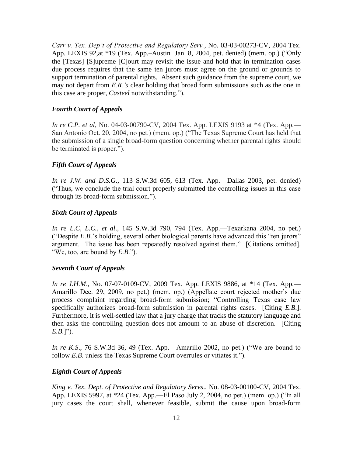*Carr v. Tex. Dep't of Protective and Regulatory Serv.*, No. 03-03-00273-CV, 2004 Tex. App. LEXIS 92,at \*19 (Tex. App.–Austin Jan. 8, 2004, pet. denied) (mem. op.) ("Only the [Texas] [S]upreme [C]ourt may revisit the issue and hold that in termination cases due process requires that the same ten jurors must agree on the ground or grounds to support termination of parental rights. Absent such guidance from the supreme court, we may not depart from *E.B.'s* clear holding that broad form submissions such as the one in this case are proper, *Casteel* notwithstanding.").

#### *Fourth Court of Appeals*

*In re C.P. et al*, No. 04-03-00790-CV, 2004 Tex. App. LEXIS 9193 at \*4 (Tex. App.— San Antonio Oct. 20, 2004, no pet.) (mem. op.) ("The Texas Supreme Court has held that the submission of a single broad-form question concerning whether parental rights should be terminated is proper.").

#### *Fifth Court of Appeals*

*In re J.W. and D.S.G*., 113 S.W.3d 605, 613 (Tex. App.—Dallas 2003, pet. denied) ("Thus, we conclude the trial court properly submitted the controlling issues in this case through its broad-form submission.").

#### *Sixth Court of Appeals*

*In re L.C, L.C., et al*., 145 S.W.3d 790, 794 (Tex. App.—Texarkana 2004, no pet.) ("Despite *E.B.*'s holding, several other biological parents have advanced this "ten jurors" argument. The issue has been repeatedly resolved against them." [Citations omitted]. "We, too, are bound by *E.B*.").

#### *Seventh Court of Appeals*

*In re J.H.M.*, No. 07-07-0109-CV, 2009 Tex. App. LEXIS 9886, at \*14 (Tex. App.— Amarillo Dec. 29, 2009, no pet.) (mem. op.) (Appellate court rejected mother's due process complaint regarding broad-form submission; "Controlling Texas case law specifically authorizes broad-form submission in parental rights cases. [Citing *E.B*.]. Furthermore, it is well-settled law that a jury charge that tracks the statutory language and then asks the controlling question does not amount to an abuse of discretion. [Citing *E.B*.]").

*In re K.S*., 76 S.W.3d 36, 49 (Tex. App.—Amarillo 2002, no pet.) ("We are bound to follow *E.B*. unless the Texas Supreme Court overrules or vitiates it.").

#### *Eighth Court of Appeals*

*King v. Tex. Dept. of Protective and Regulatory Servs*., No. 08-03-00100-CV, 2004 Tex. App. LEXIS 5997, at \*24 (Tex. App.—El Paso July 2, 2004, no pet.) (mem. op.) ("In all jury cases the court shall, whenever feasible, submit the cause upon broad-form